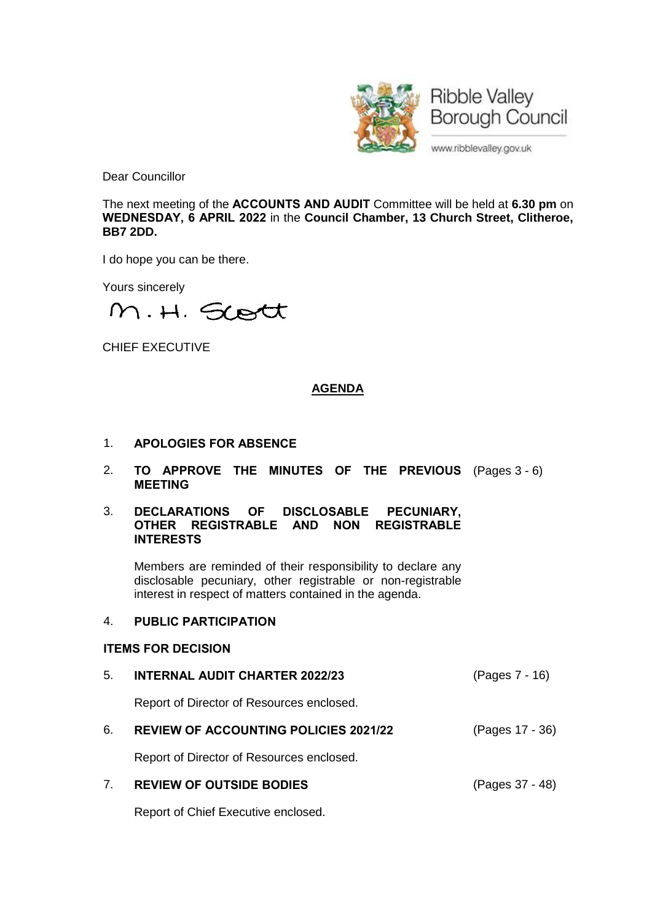

Dear Councillor

The next meeting of the **ACCOUNTS AND AUDIT** Committee will be held at **6.30 pm** on **WEDNESDAY, 6 APRIL 2022** in the **Council Chamber, 13 Church Street, Clitheroe, BB7 2DD.**

I do hope you can be there.

Yours sincerely

M.H. Scott

CHIEF EXECUTIVE

# **AGENDA**

- 1. **APOLOGIES FOR ABSENCE**
- 2. **TO APPROVE THE MINUTES OF THE PREVIOUS** (Pages 3 6) **MEETING**
- 3. **DECLARATIONS OF DISCLOSABLE PECUNIARY, OTHER REGISTRABLE AND NON REGISTRABLE INTERESTS**

Members are reminded of their responsibility to declare any disclosable pecuniary, other registrable or non-registrable interest in respect of matters contained in the agenda.

# 4. **PUBLIC PARTICIPATION**

#### **ITEMS FOR DECISION**

5. **INTERNAL AUDIT CHARTER 2022/23** (Pages 7 - 16)

Report of Director of Resources enclosed.

6. **REVIEW OF ACCOUNTING POLICIES 2021/22** (Pages 17 - 36)

Report of Director of Resources enclosed.

7. **REVIEW OF OUTSIDE BODIES** (Pages 37 - 48)

Report of Chief Executive enclosed.